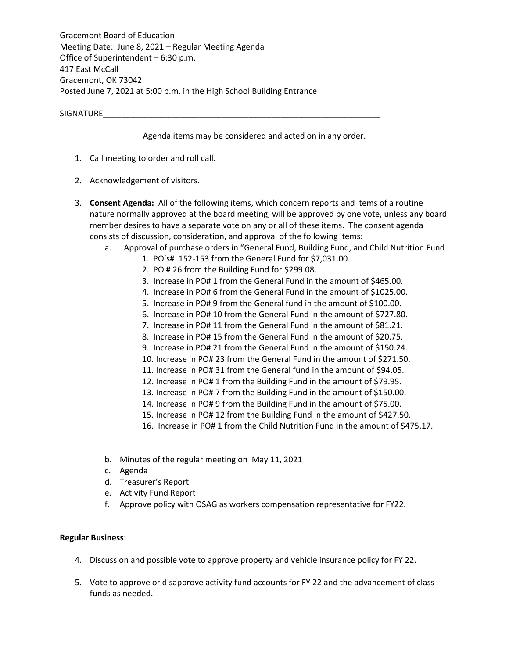Gracemont Board of Education Meeting Date: June 8, 2021 – Regular Meeting Agenda Office of Superintendent – 6:30 p.m. 417 East McCall Gracemont, OK 73042 Posted June 7, 2021 at 5:00 p.m. in the High School Building Entrance

SIGNATURE

Agenda items may be considered and acted on in any order.

- 1. Call meeting to order and roll call.
- 2. Acknowledgement of visitors.
- 3. **Consent Agenda:** All of the following items, which concern reports and items of a routine nature normally approved at the board meeting, will be approved by one vote, unless any board member desires to have a separate vote on any or all of these items. The consent agenda consists of discussion, consideration, and approval of the following items:
	- a. Approval of purchase orders in "General Fund, Building Fund, and Child Nutrition Fund
		- 1. PO's# 152-153 from the General Fund for \$7,031.00.
		- 2. PO # 26 from the Building Fund for \$299.08.
		- 3. Increase in PO# 1 from the General Fund in the amount of \$465.00.
		- 4. Increase in PO# 6 from the General Fund in the amount of \$1025.00.
		- 5. Increase in PO# 9 from the General fund in the amount of \$100.00.
		- 6. Increase in PO# 10 from the General Fund in the amount of \$727.80.
		- 7. Increase in PO# 11 from the General Fund in the amount of \$81.21.
		- 8. Increase in PO# 15 from the General Fund in the amount of \$20.75.
		- 9. Increase in PO# 21 from the General Fund in the amount of \$150.24.
		- 10. Increase in PO# 23 from the General Fund in the amount of \$271.50.
		- 11. Increase in PO# 31 from the General fund in the amount of \$94.05.
		- 12. Increase in PO# 1 from the Building Fund in the amount of \$79.95.
		- 13. Increase in PO# 7 from the Building Fund in the amount of \$150.00.
		- 14. Increase in PO# 9 from the Building Fund in the amount of \$75.00.
		- 15. Increase in PO# 12 from the Building Fund in the amount of \$427.50.
		- 16. Increase in PO# 1 from the Child Nutrition Fund in the amount of \$475.17.
	- b. Minutes of the regular meeting on May 11, 2021
	- c. Agenda
	- d. Treasurer's Report
	- e. Activity Fund Report
	- f. Approve policy with OSAG as workers compensation representative for FY22.

## **Regular Business**:

- 4. Discussion and possible vote to approve property and vehicle insurance policy for FY 22.
- 5. Vote to approve or disapprove activity fund accounts for FY 22 and the advancement of class funds as needed.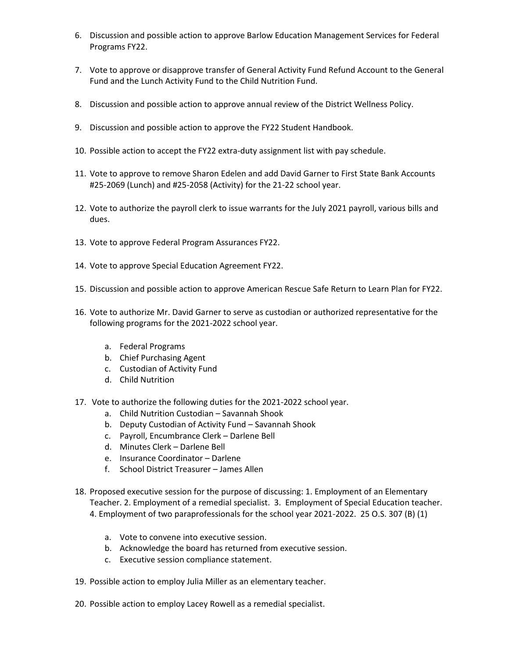- 6. Discussion and possible action to approve Barlow Education Management Services for Federal Programs FY22.
- 7. Vote to approve or disapprove transfer of General Activity Fund Refund Account to the General Fund and the Lunch Activity Fund to the Child Nutrition Fund.
- 8. Discussion and possible action to approve annual review of the District Wellness Policy.
- 9. Discussion and possible action to approve the FY22 Student Handbook.
- 10. Possible action to accept the FY22 extra-duty assignment list with pay schedule.
- 11. Vote to approve to remove Sharon Edelen and add David Garner to First State Bank Accounts #25-2069 (Lunch) and #25-2058 (Activity) for the 21-22 school year.
- 12. Vote to authorize the payroll clerk to issue warrants for the July 2021 payroll, various bills and dues.
- 13. Vote to approve Federal Program Assurances FY22.
- 14. Vote to approve Special Education Agreement FY22.
- 15. Discussion and possible action to approve American Rescue Safe Return to Learn Plan for FY22.
- 16. Vote to authorize Mr. David Garner to serve as custodian or authorized representative for the following programs for the 2021-2022 school year.
	- a. Federal Programs
	- b. Chief Purchasing Agent
	- c. Custodian of Activity Fund
	- d. Child Nutrition
- 17. Vote to authorize the following duties for the 2021-2022 school year.
	- a. Child Nutrition Custodian Savannah Shook
	- b. Deputy Custodian of Activity Fund Savannah Shook
	- c. Payroll, Encumbrance Clerk Darlene Bell
	- d. Minutes Clerk Darlene Bell
	- e. Insurance Coordinator Darlene
	- f. School District Treasurer James Allen
- 18. Proposed executive session for the purpose of discussing: 1. Employment of an Elementary Teacher. 2. Employment of a remedial specialist. 3. Employment of Special Education teacher. 4. Employment of two paraprofessionals for the school year 2021-2022. 25 O.S. 307 (B) (1)
	- a. Vote to convene into executive session.
	- b. Acknowledge the board has returned from executive session.
	- c. Executive session compliance statement.
- 19. Possible action to employ Julia Miller as an elementary teacher.
- 20. Possible action to employ Lacey Rowell as a remedial specialist.